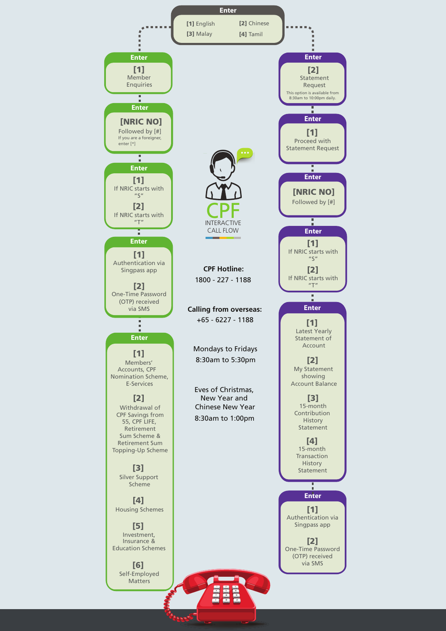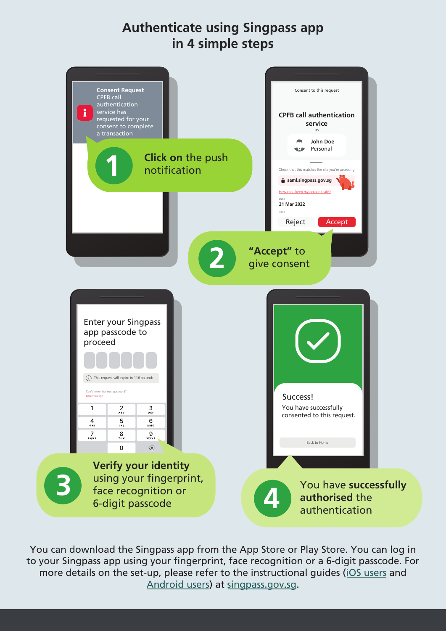## **Authenticate using Singpass app in 4 simple steps**



You can download the Singpass app from the App Store or Play Store. You can log in to your Singpass app using your fingerprint, face recognition or a 6-digit passcode. For more details on the set-up, please refer to the instructional guides [\(iOS users](https://www.singpass.gov.sg/home/ui/assets/pdf/Singpass_App_iOS_Guide.pdf) and [Android users\)](https://www.singpass.gov.sg/home/ui/assets/pdf/Singpass_App_Android_Guide.pdf) at [singpass.gov.sg.](https://www.singpass.gov.sg/)